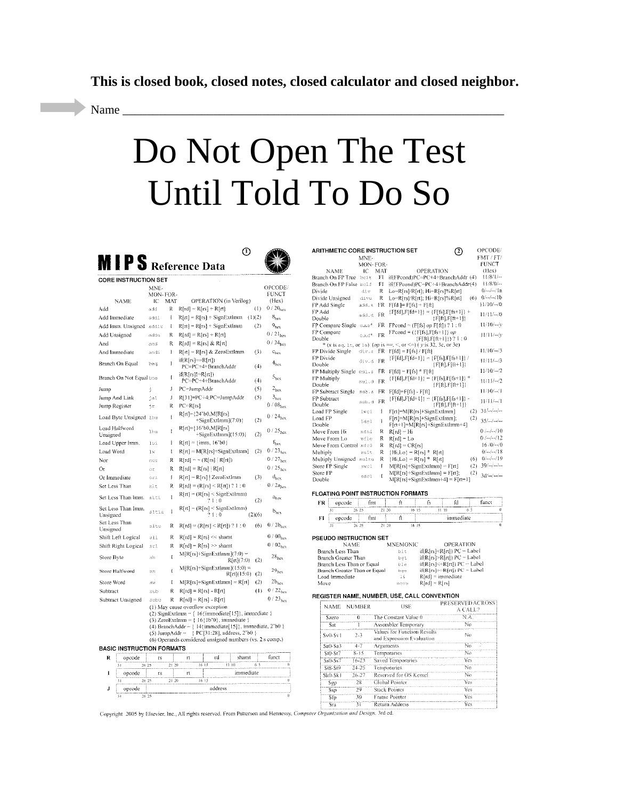**This is closed book, closed notes, closed calculator and closed neighbor.** 

Name \_\_\_\_\_\_\_\_\_\_\_\_\_\_\_\_\_\_\_\_\_\_\_\_\_\_\_\_\_\_\_\_\_\_\_\_\_\_\_\_\_\_\_\_\_\_\_\_\_\_\_\_\_\_\_\_\_\_\_\_\_\_\_

# Do Not Open The Test Until Told To Do So

 $\odot$ 

|                                  |             |           | O)                                                                                                      |          |                                         |
|----------------------------------|-------------|-----------|---------------------------------------------------------------------------------------------------------|----------|-----------------------------------------|
|                                  |             |           | MIPS Reference Data                                                                                     |          |                                         |
| <b>CORE INSTRUCTION SET</b>      |             |           |                                                                                                         |          |                                         |
|                                  | MNE-        |           |                                                                                                         |          | OPCODE/                                 |
|                                  | MON-FOR-    |           |                                                                                                         |          | FUNCT                                   |
| NAME                             | IC          | MAT       | OPERATION (in Verilog)                                                                                  |          | (Hex)<br>$0/20_{\rm{hex}}$              |
| Add                              | add         | R         | $R[rd] = R[rs] + R[rt]$                                                                                 | (1)      |                                         |
| Add Immediate                    | addi        | I         | R[rt] = R[rs] + SignExtImm                                                                              | (1)(2)   | $8_{hex}$                               |
| Add Imm. Unsigned                | addiu       | I         | $R[rt] = R[rs] + SignExtlmm$                                                                            | (2)      | $9_{\text{hex}}$<br>$0/21_{\text{hex}}$ |
| Add Unsigned                     | addu        | Ŕ         | $R[rd] = R[rs] + R[rt]$                                                                                 |          | $0/24_{\text{box}}$                     |
| And                              | and         | R         | $R[rd] = R[rs] & R[rt]$                                                                                 |          |                                         |
| And Immediate                    | andi        | I         | R[rt] = R[rs] & ZeroExtImm<br>$i$ f(R[rs]= $R[rt]$ )                                                    | (3)      | $c_{\text{hex}}$                        |
| Branch On Equal                  | bed         | I         | PC=PC+4+BranchAddr                                                                                      | (4)      | $4_{\rm hex}$                           |
| Branch On Not Equal bne          |             | ľ         | $if(R[rs]!=R[rt])$<br>PC=PC+4+BranchAddr                                                                | (4)      | 5 <sub>hex</sub>                        |
| Jump                             | ţ           | J         | PC=JumpAddr                                                                                             | (5)      | 2 <sub>hex</sub>                        |
| Jump And Link                    | jal         | Ĵ         | R[31]=PC+4;PC=JumpAddr                                                                                  | (5)      | $3_{\text{hex}}$<br>0/08 <sub>hex</sub> |
| Jump Register                    | ήr          | R         | PC=R[rs]                                                                                                |          |                                         |
| Load Byte Unsigned               | 3 bu        | Į         | R[rt]=124'b0,M[R[rs]<br>$+SignExtImm(7:0)$                                                              | (2)      | $0/24$ <sub>hex</sub>                   |
| Load Halfword<br>Unsigned        | 1 ha        | Ĩ         | R[rt]={16'b0,M[R[rs]<br>$+$ SignExtImm](15:0)}                                                          | (2)      | $0/25$ <sub>hex</sub>                   |
| Load Upper Imm.                  | lui         | I         | $R[rt] = \{imm, 16'b0\}$                                                                                |          | $f_{\rm hex}$                           |
| Load Word                        | lΜ          | I         | R[rt] = M[R[rs]+SignExtImm]                                                                             | (2)      | $0/23_{\text{hex}}$                     |
| Nor                              | nor         | R         | $R[rd] = \sim (R(rs)   R[rt])$                                                                          |          | $0/27_{\text{hex}}$                     |
| От                               | ΩY          | R         | $R[rd] = R[rs]   R[rt]$                                                                                 |          | $0/25$ <sub>hex</sub>                   |
| Or Immediate                     | ori         | ţ         | R[rt] = R[rs]   ZeroExtImm                                                                              | (3)      | $d_{\text{hex}}$                        |
| Set Less Than                    | sit         | R         | $R[rd] = (R[rs] < R[rt]) ? 1 : 0$                                                                       |          | 0/2a <sub>hex</sub>                     |
| Set Less Than Imm.               | slti        | ĺ         | $R[rt] = (R[rs] \leq$ SignExtImm)<br>?1:0                                                               | (2)      | $a_{\rm box}$                           |
| Set Less Than Imm.<br>Unsigned   | sltiu       | Ĭ         | $R[rt] = (R[rs] \leq$ SignExtlmm)<br>21:0                                                               | (2)(6)   | $b_{\text{hex}}$                        |
| Set Less Than<br>Unsigned        | slto        | R         | $R[rd] = (R[rs] < R[rt]) ? 1 : 0$                                                                       | (6)      | $0/2b$ <sub>hex</sub>                   |
| Shift Left Logical               | sll         | R         | $R[rd] = R(rs) \ll shamt$                                                                               |          | 0/00 <sub>hes</sub>                     |
| Shift Right Logical              | srl         | R         | $R[rd] = R[rs] \gg shamt$                                                                               |          | 0/02 <sub>hex</sub>                     |
| Store Byte                       | sb          | I         | $M[R[rs]+SignExtmm](7:0) =$<br>R[rt](7:0)                                                               | (2)      | $28_{\text{hex}}$                       |
| Store Halfword                   | mh          | Ĭ         | $M[R[rs]+SignExtImm](15:0) =$<br>R[rt](15:0).                                                           | (2)      | 29 <sub>hex</sub>                       |
| Store Word                       | ste         | Ĭ         | $M[R[rs]+SignExtImm] = R[rt]$                                                                           | (2)      | $2b_{hex}$                              |
| Subtract                         | sub         | R         | $R[rd] = R[rs] - R[rt]$                                                                                 | $(\Box)$ | $0/22_{\text{hex}}$                     |
| Subtract Unsigned                | subu        | R         | $R[rd] = R[rs] - R[rt]$                                                                                 |          | $0/23_{hex}$                            |
|                                  |             |           | (1) May cause overflow exception<br>(2) SignExtImm = { 16{immediate[15]}, immediate }                   |          |                                         |
|                                  |             |           | (3) ZeroExtImm $=$ {16{1b'0}, immediate }                                                               |          |                                         |
|                                  |             |           | (4) BranchAddr = $\{14\}$ immediate $\{15\}$ , immediate, 2'b0 }                                        |          |                                         |
|                                  |             |           | (5) JumpAddr = { PC[31:28], address, 2'b0 }<br>(6) Operands considered unsigned numbers (vs. 2 s comp.) |          |                                         |
| <b>BASIC INSTRUCTION FORMATS</b> |             |           |                                                                                                         |          |                                         |
| Ŕ<br>opcode                      | ľŚ          |           | rd<br>shamt<br>rt                                                                                       |          | funct                                   |
| 31                               | 26 25       | 21.20     | 16.15<br>11 10                                                                                          | 65       | ö                                       |
| I<br>opcode<br>31                | ŕś<br>26 25 | $21 - 20$ | immediate<br>rt<br>16 15                                                                                |          | $\ddot{a}$                              |
| J<br>opcode                      |             |           | address                                                                                                 |          |                                         |
| 26.2                             |             |           |                                                                                                         |          | ò                                       |

| OPCODE/<br><b>ARITHMETIC CORE INSTRUCTION SET</b><br>2) |           |     |                                                                         |                  |  |  |
|---------------------------------------------------------|-----------|-----|-------------------------------------------------------------------------|------------------|--|--|
|                                                         | MNE-      |     |                                                                         | FMT / FT/        |  |  |
|                                                         | MON-FOR-  |     |                                                                         | <b>FUNCT</b>     |  |  |
| NAME                                                    | ĩС        | MAT | <b>OPERATION</b>                                                        | (Flex)           |  |  |
| Branch On FP True belt                                  |           | FI  | iffFPcond)PC=PC+4+BranchAddr (4)                                        | 11/8/1/          |  |  |
| Branch On FP False bolf                                 |           | FI  | ift!FPcond)PC=PC+4+BranchAddr(4)                                        | $11/8/0/$ --     |  |  |
| Divide                                                  | div       | R   | Lo=R[rs]/R[rt]; Hi=R[rs]%R[rt]                                          | $0/$ --/--/1a    |  |  |
| Divide Unsigned                                         | divu      | R   | Lo=Rirs /Rirt]; Hi=Rirs]%Rirt]<br>(6)                                   | $0/-/-/16$       |  |  |
| FP Add Single                                           | add.s     | FR  | $F[fd] = F[fs] + F[ft]$                                                 | $11/10/$ - $ /0$ |  |  |
| FP Add<br>Double                                        | add.d     | FR  | {F[fd],F[fd+11} = {F[fs],F[fs+11} +<br>${Fftl.Fft+1}$                   | $11/11/ - 0$     |  |  |
| FP Compare Single c.x.s*                                |           | FR  | $F1 = (F[fs] op F[ft]) ? 1 : 0$                                         | $11/10/-\nu$     |  |  |
| FP Compare<br>Double                                    | $c.x.d^*$ | FR  | $FPcond = (\{F[fs], F[fs+1]\}$ op<br>$\{F[ft], F[ft+1]\}\$ $? 1:0$      | 11/11/--/v       |  |  |
|                                                         |           |     | * (x is eq. 1b, or 1e) (op is ==, <, or <= ) (y is 32, 3c, or 3e)       |                  |  |  |
| FP Divide Single                                        | div.s     | FR  | $FfdI = F[fs]/F[ft]$                                                    | $11/10/-./3$     |  |  |
| FP Divide<br>Double                                     | div.d     | FR  | {F[fd],F[fd+1]} = {F[fs],F[fs+1]} /<br>{F{A},F{A+1}}                    | $11/11/-3$       |  |  |
| FP Multiply Single mul.s                                |           | FR  | $FfdI = Fffsl * FfftI$                                                  | $11/10/-2$       |  |  |
| FP Multiply                                             | mul.d     | FR  | $\{Fffd\}, Fffd+J\} = \{F[fs\], F[fs+1]\}$ *                            | $11/11/ -2$      |  |  |
| Double                                                  |           |     | {F(ft),F(ft+11}                                                         |                  |  |  |
| <b>FP Subtract Single</b>                               | sub. s    | FR  | Fffdl=Fffs] - Ffft]                                                     | $11/10/-/1$      |  |  |
| FP Subtract<br>Double                                   | sub.d     | FR  | {F[fd],F[fd+1]{ = {F[fs],F[fs+1]} -<br>{F[ft],F[ft+1]}                  | 11/11/--/1       |  |  |
| Load FP Single                                          | lwc1      | ł   | F[rt]=M[R[rs]+SignExtImm]<br>(2)                                        | $31/-/-$         |  |  |
| Load FP<br>Double                                       | ldcl      | Ì   | F[rt]=M[R[rs]+SignExtImm];<br>(2)<br>F[rt+1]=M[R[rs]+SignExtlmm+4]      | $35/-1$          |  |  |
| Move From Hi                                            | mfhi      | R   | R[rd] = Hi                                                              | $0$ /--/--/10    |  |  |
| Move From Lo                                            | mflo      | R   | $R[rd] = Lo$                                                            | $0/-/-/12$       |  |  |
| Move From Control mfc0                                  |           | R   | R[rd] = CR[rs]                                                          | $16/0/$ - $ /0$  |  |  |
| Multiply                                                | mult      | R   | ${Hi, Lo} = R[rs]^*$<br>Rint                                            | $0/-/-/18$       |  |  |
| Multiply Unsigned                                       | multu     | R   | ${Hi, Lo} = R[rs] * R[rt]$                                              | $(6)$ $0/-/-/19$ |  |  |
| Store FP Single                                         | swol      | ľ   | MIRIrsl+SignExtImml = FIrtl<br>(2)                                      | $39/$ and $-$    |  |  |
| Store FP<br>Double                                      | sdcl      | Ī   | M[R[rs]+SignExtImm] = F[rt];<br>(2)<br>$M[R[rs]+SigBxtlmm+4] = F[rt+1]$ | 3d/m/            |  |  |

#### **FLOATING POINT INSTRUCTION FORMATS**

| FR | opcode | fmt   |      |       | ю         | funct |
|----|--------|-------|------|-------|-----------|-------|
|    |        | 26.25 | 20   | 16.15 | 19        |       |
|    | opcode | fint  |      |       | immediate |       |
|    |        |       | a Sa | 16 15 |           |       |

## **PSEUDO INSTRUCTION SET**

| seupo matnochon set          |                 |                                              |
|------------------------------|-----------------|----------------------------------------------|
| NAME                         | <b>MNEMONIC</b> | <b>OPERATION</b>                             |
| Branch Less Than             | blt.            | if(RIrs) <rirt]) pc="Label&lt;/th"></rirt])> |
| Branch Greater Than          | bat             | if(R[rs]>R[rt]) PC = Label                   |
| Branch Less Than or Equal    | hle             | if(R[rs]<=R[rt]) PC = Label                  |
| Branch Greater Than or Equal | bae             | $if(R[rs] > R[rt]) PC = Label$               |
| Load Immediate               | 14              | $R[rd]$ = immediate                          |
| Move                         | move.           | $Rfd = Rfs$                                  |

#### REGISTER NAME, NUMBER, USE, CALL CONVENTION

| <b>NUMBER</b><br><b>NAME</b> |           | USE.                                                     | <b>PRESERVED ACROSS</b><br>A CALL? |
|------------------------------|-----------|----------------------------------------------------------|------------------------------------|
| Szero                        |           | The Constant Value 0                                     | N.A.                               |
| Sat                          |           | Assembler Temporary                                      | Nο                                 |
| $Sv0-Sv1$                    | $2 - 3$   | Values for Function Results<br>and Expression Evaluation | Nο                                 |
| $Sa0-Sa3$                    | $4 - 7$   | Arguments                                                | No                                 |
| St0-St7                      | $8 - 15$  | Temporaries                                              | No                                 |
| Ss0-Ss7                      | $16 - 23$ | Saved Temporaries                                        | Yes                                |
| <b>St8-St9</b>               | 24-25     | Temporaries                                              | Nn                                 |
| $Sk0-Skl$                    | 26-27     | Reserved for OS Kernel                                   | No                                 |
| Sgp                          | 28        | Global Pointer                                           | Yes                                |
| Ssp                          | 29        | Stack Pointer                                            | Yes                                |
| Sfp                          | 30        | Frame Pointer                                            | Yes.                               |
| Sea                          | 31        | Return Address                                           | Yes                                |

Copyright 2005 by Elsevier, Inc., All rights reserved. From Patterson and Hennessy, Computer Organization and Design. 3rd ed.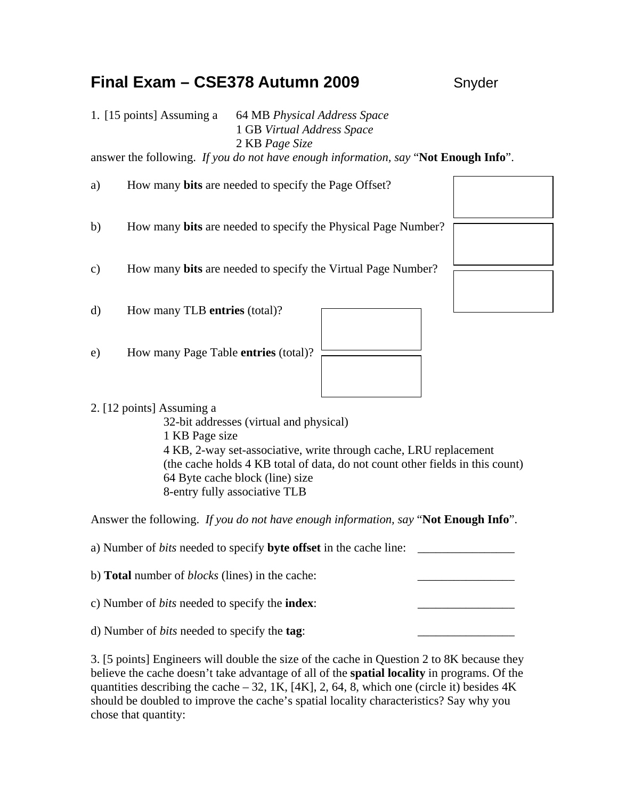# **Final Exam – CSE378 Autumn 2009** Snyder

1. [15 points] Assuming a 64 MB *Physical Address Space* 1 GB *Virtual Address Space* 2 KB *Page Size*

answer the following. *If you do not have enough information, say* "**Not Enough Info**".

a) How many **bits** are needed to specify the Page Offset? b) How many **bits** are needed to specify the Physical Page Number? c) How many **bits** are needed to specify the Virtual Page Number? d) How many TLB **entries** (total)? e) How many Page Table **entries** (total)?

# 2. [12 points] Assuming a

32-bit addresses (virtual and physical) 1 KB Page size 4 KB, 2-way set-associative, write through cache, LRU replacement (the cache holds 4 KB total of data, do not count other fields in this count) 64 Byte cache block (line) size 8-entry fully associative TLB

Answer the following. *If you do not have enough information, say* "**Not Enough Info**".

a) Number of *bits* needed to specify **byte offset** in the cache line: b) **Total** number of *blocks* (lines) in the cache: c) Number of *bits* needed to specify the **index**: d) Number of *bits* needed to specify the **tag**: \_\_\_\_\_\_\_\_\_\_\_\_\_\_\_\_

3. [5 points] Engineers will double the size of the cache in Question 2 to 8K because they believe the cache doesn't take advantage of all of the **spatial locality** in programs. Of the quantities describing the cache – 32, 1K,  $[4K]$ , 2, 64, 8, which one (circle it) besides  $4K$ should be doubled to improve the cache's spatial locality characteristics? Say why you chose that quantity: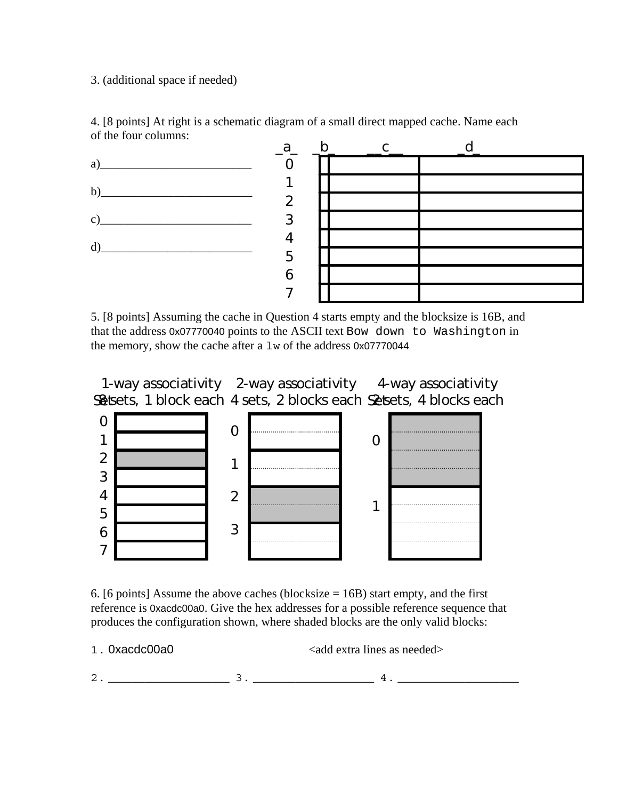## 3. (additional space if needed)



4. [8 points] At right is a schematic diagram of a small direct mapped cache. Name each of the four columns:

5. [8 points] Assuming the cache in Question 4 starts empty and the blocksize is 16B, and that the address 0x07770040 points to the ASCII text Bow down to Washington in the memory, show the cache after a lw of the address 0x07770044

S& sets, 1 block each 4 sets, 2 blocks each S& sets, 4 blocks each 1-way associativity 2-way associativity 4-way associativity



6. [6 points] Assume the above caches (blocksize  $= 16B$ ) start empty, and the first reference is 0xacdc00a0. Give the hex addresses for a possible reference sequence that produces the configuration shown, where shaded blocks are the only valid blocks:

1. 0xacdc00a0  $\leq$   $\leq$   $\leq$   $\leq$   $\leq$   $\leq$   $\leq$   $\leq$   $\leq$   $\leq$   $\leq$   $\leq$   $\leq$   $\leq$   $\leq$   $\leq$   $\leq$   $\leq$   $\leq$   $\leq$   $\leq$   $\leq$   $\leq$   $\leq$   $\leq$   $\leq$   $\leq$   $\leq$   $\leq$   $\leq$   $\leq$   $\leq$   $\leq$   $\leq$   $\leq$ 2. \_\_\_\_\_\_\_\_\_\_\_\_\_\_\_\_\_\_\_\_ 3. \_\_\_\_\_\_\_\_\_\_\_\_\_\_\_\_\_\_\_\_ 4. \_\_\_\_\_\_\_\_\_\_\_\_\_\_\_\_\_\_\_\_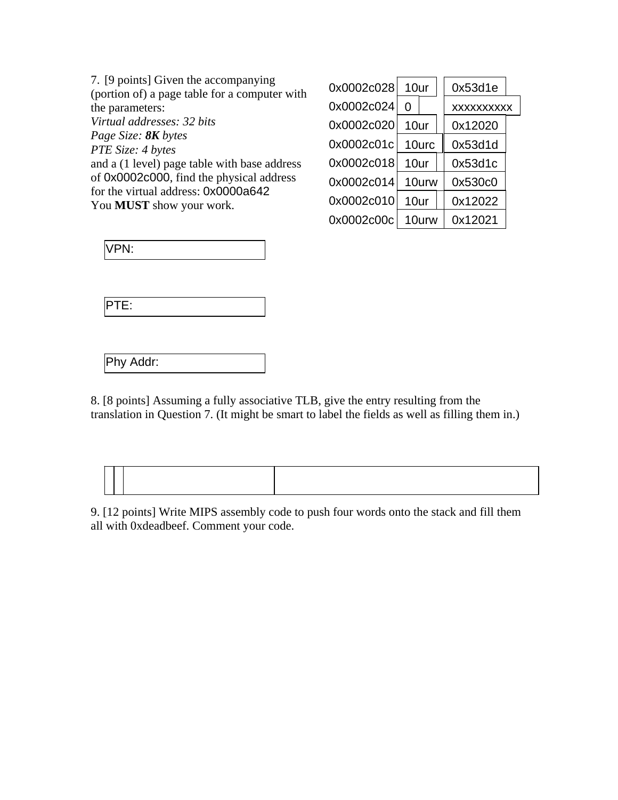7. [9 points] Given the accompanying (portion of) a page table for a computer with the parameters: *Virtual addresses: 32 bits Page Size: 8K bytes PTE Size: 4 bytes*  and a (1 level) page table with base address of 0x0002c000, find the physical address for the virtual address: 0x0000a642 You **MUST** show your work.

| 0x0002c028 | 10ur  |       | 0x53d1e           |
|------------|-------|-------|-------------------|
| 0x0002c024 | 0     |       | <b>XXXXXXXXXX</b> |
| 0x0002c020 | 10ur  |       | 0x12020           |
| 0x0002c01c | 10urc |       | 0x53d1d           |
| 0x0002c018 | 10ur  |       | 0x53d1c           |
| 0x0002c014 | 10urw |       | 0x530c0           |
| 0x0002c010 | 10ur  |       | 0x12022           |
| 0x0002c00c |       | 10urw | 0x12021           |

|--|--|

Phy Addr:

8. [8 points] Assuming a fully associative TLB, give the entry resulting from the translation in Question 7. (It might be smart to label the fields as well as filling them in.)

9. [12 points] Write MIPS assembly code to push four words onto the stack and fill them all with 0xdeadbeef. Comment your code.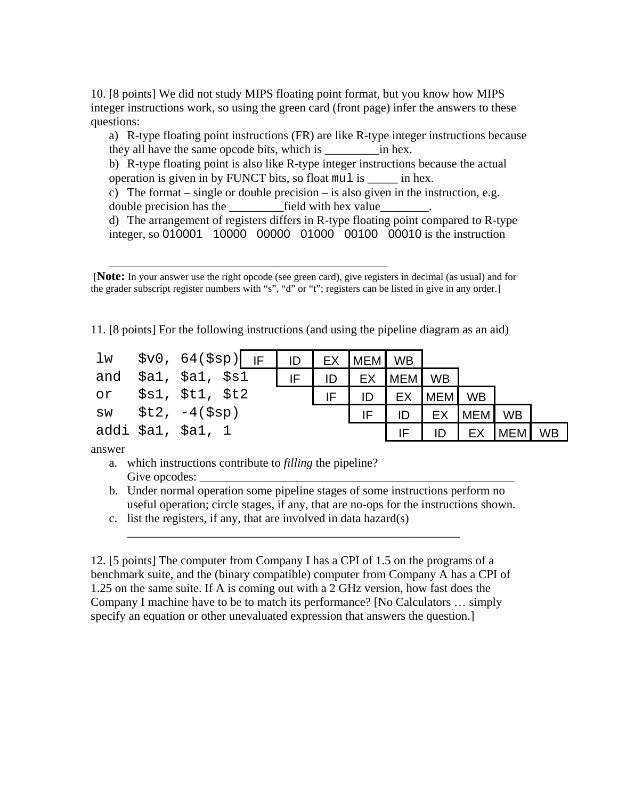10. [8 points] We did not study MIPS floating point format, but you know how MIPS integer instructions work, so using the green card (front page) infer the answers to these questions:

a) R-type floating point instructions (FR) are like R-type integer instructions because they all have the same opcode bits, which is \_\_\_\_\_\_\_\_\_in hex.

b) R-type floating point is also like R-type integer instructions because the actual operation is given in by FUNCT bits, so float mul is \_\_\_\_\_ in hex.

c) The format – single or double precision – is also given in the instruction, e.g. double precision has the \_\_\_\_\_\_\_\_\_field with hex value\_\_\_\_\_\_\_\_.

d) The arrangement of registers differs in R-type floating point compared to R-type integer, so 010001 10000 00000 01000 00100 00010 is the instruction

 [**Note:** In your answer use the right opcode (see green card), give registers in decimal (as usual) and for the grader subscript register numbers with "s", "d" or "t"; registers can be listed in give in any order.]

11. [8 points] For the following instructions (and using the pipeline diagram as an aid)

| lw | \$v0, 64(\$sp)  IF   ID   EX  MEM  WB |  |    |    |            |     |           |            |           |
|----|---------------------------------------|--|----|----|------------|-----|-----------|------------|-----------|
|    | and \$al, \$al, \$sl                  |  | ID | EX | <b>MEM</b> | WB  |           |            |           |
| or | \$s1, \$t1, \$t2                      |  | IF |    | <b>EX</b>  | MEM | <b>WB</b> |            |           |
|    | $sw$ $$t2, -4(Ssp)$                   |  |    |    |            | EX  | MEM       | <b>WB</b>  |           |
|    | addi \$a1, \$a1, 1                    |  |    |    |            |     |           | <b>MEM</b> | <b>WB</b> |

answer

a. which instructions contribute to *filling* the pipeline? Give opcodes:

\_\_\_\_\_\_\_\_\_\_\_\_\_\_\_\_\_\_\_\_\_\_\_\_\_\_\_\_\_\_\_\_\_\_\_\_\_\_\_\_\_\_\_\_\_\_

- b. Under normal operation some pipeline stages of some instructions perform no useful operation; circle stages, if any, that are no-ops for the instructions shown.
- c. list the registers, if any, that are involved in data hazard $(s)$

12. [5 points] The computer from Company I has a CPI of 1.5 on the programs of a benchmark suite, and the (binary compatible) computer from Company A has a CPI of 1.25 on the same suite. If A is coming out with a 2 GHz version, how fast does the Company I machine have to be to match its performance? [No Calculators … simply specify an equation or other unevaluated expression that answers the question.]

\_\_\_\_\_\_\_\_\_\_\_\_\_\_\_\_\_\_\_\_\_\_\_\_\_\_\_\_\_\_\_\_\_\_\_\_\_\_\_\_\_\_\_\_\_\_\_\_\_\_\_\_\_\_\_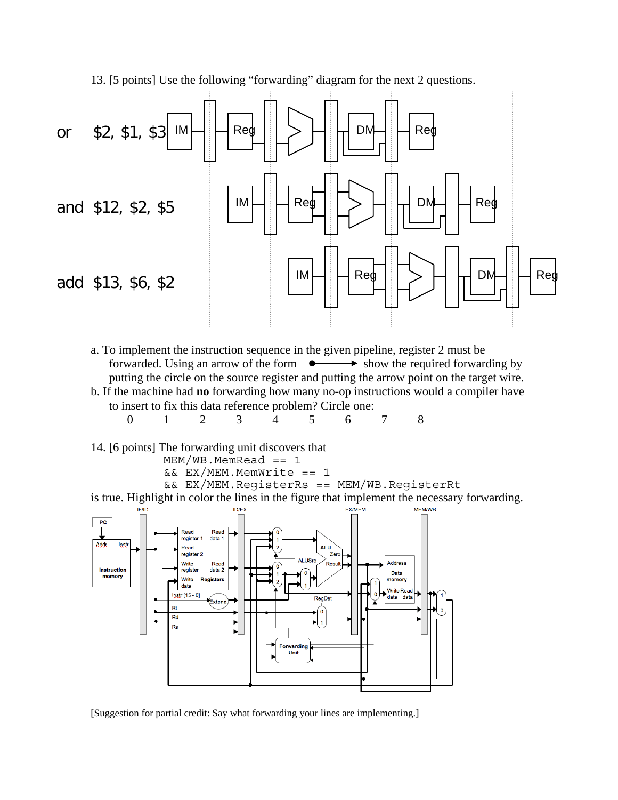

13. [5 points] Use the following "forwarding" diagram for the next 2 questions.



14. [6 points] The forwarding unit discovers that

 $MEM/WB.MemRead == 1$  $&&&$  EX/MEM. MemWrite == 1

&& EX/MEM.RegisterRs == MEM/WB.RegisterRt

is true. Highlight in color the lines in the figure that implement the necessary forwarding.<br>  $\frac{1}{N}$ 



[Suggestion for partial credit: Say what forwarding your lines are implementing.]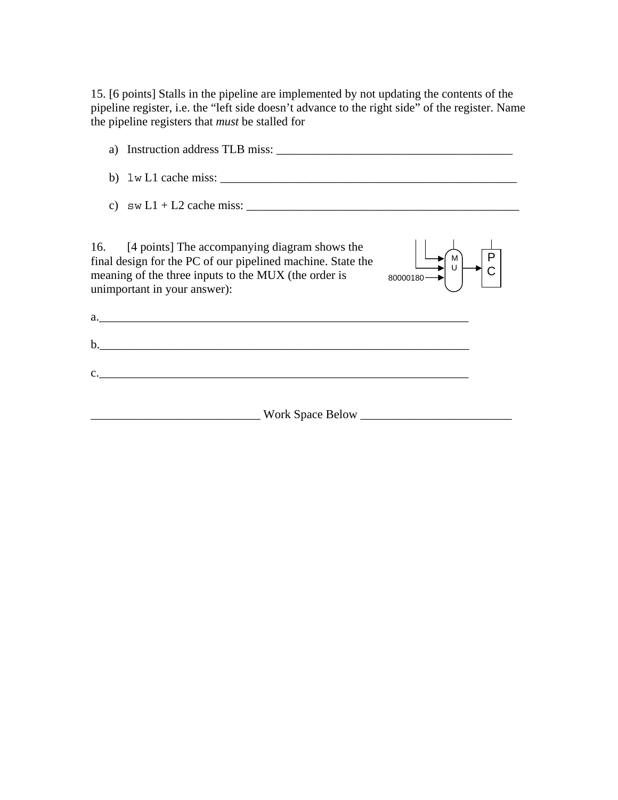15. [6 points] Stalls in the pipeline are implemented by not updating the contents of the pipeline register, i.e. the "left side doesn't advance to the right side" of the register. Name the pipeline registers that *must* be stalled for

| a) Instruction address TLB miss:                                                                                                                                                                                                        |  |
|-----------------------------------------------------------------------------------------------------------------------------------------------------------------------------------------------------------------------------------------|--|
|                                                                                                                                                                                                                                         |  |
|                                                                                                                                                                                                                                         |  |
| 16. [4 points] The accompanying diagram shows the<br>final design for the PC of our pipelined machine. State the<br>meaning of the three inputs to the MUX (the order is<br>unimportant in summer<br>unimportant in your answer):<br>b. |  |
| <u> 1989 - Johann Barn, mars and de Branch Barn, mars and de Branch Barn, mars and de Branch Barn, mars and de Br</u>                                                                                                                   |  |
|                                                                                                                                                                                                                                         |  |

\_\_\_\_\_\_\_\_\_\_\_\_\_\_\_\_\_\_\_\_\_\_\_\_\_\_\_\_ Work Space Below \_\_\_\_\_\_\_\_\_\_\_\_\_\_\_\_\_\_\_\_\_\_\_\_\_